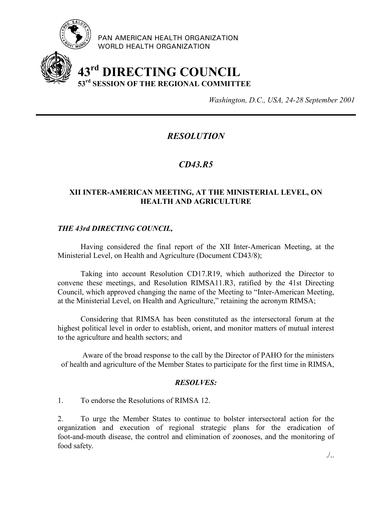

PAN AMERICAN HEALTH ORGANIZATION WORLD HEALTH ORGANIZATION

# **43rd DIRECTING COUNCIL 53rd SESSION OF THE REGIONAL COMMITTEE**

*Washington, D.C., USA, 24-28 September 2001*

## *RESOLUTION*

### *CD43.R5*

#### **XII INTER-AMERICAN MEETING, AT THE MINISTERIAL LEVEL, ON HEALTH AND AGRICULTURE**

#### *THE 43rd DIRECTING COUNCIL,*

Having considered the final report of the XII Inter-American Meeting, at the Ministerial Level, on Health and Agriculture (Document CD43/8);

Taking into account Resolution CD17.R19, which authorized the Director to convene these meetings, and Resolution RIMSA11.R3, ratified by the 41st Directing Council, which approved changing the name of the Meeting to "Inter-American Meeting, at the Ministerial Level, on Health and Agriculture," retaining the acronym RIMSA;

Considering that RIMSA has been constituted as the intersectoral forum at the highest political level in order to establish, orient, and monitor matters of mutual interest to the agriculture and health sectors; and

Aware of the broad response to the call by the Director of PAHO for the ministers of health and agriculture of the Member States to participate for the first time in RIMSA,

#### *RESOLVES:*

1. To endorse the Resolutions of RIMSA 12.

2. To urge the Member States to continue to bolster intersectoral action for the organization and execution of regional strategic plans for the eradication of foot-and-mouth disease, the control and elimination of zoonoses, and the monitoring of food safety.